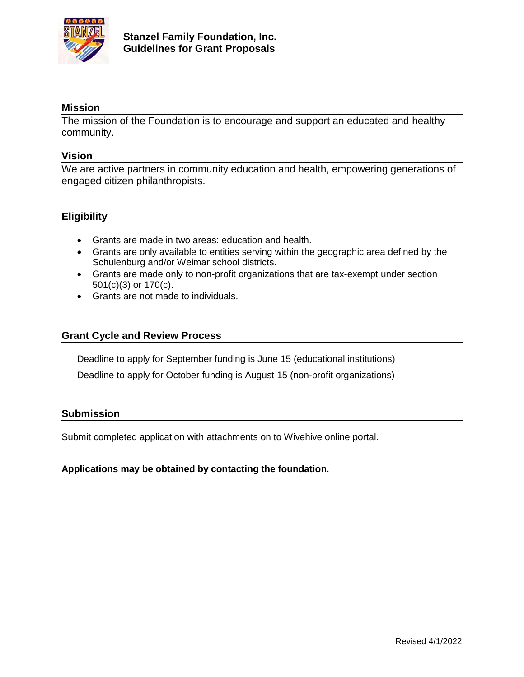

# **Mission**

The mission of the Foundation is to encourage and support an educated and healthy community.

## **Vision**

We are active partners in community education and health, empowering generations of engaged citizen philanthropists.

# **Eligibility**

- Grants are made in two areas: education and health.
- Grants are only available to entities serving within the geographic area defined by the Schulenburg and/or Weimar school districts.
- Grants are made only to non-profit organizations that are tax-exempt under section 501(c)(3) or 170(c).
- Grants are not made to individuals.

## **Grant Cycle and Review Process**

Deadline to apply for September funding is June 15 (educational institutions)

Deadline to apply for October funding is August 15 (non-profit organizations)

#### **Submission**

Submit completed application with attachments on to Wivehive online portal.

#### **Applications may be obtained by contacting the foundation.**